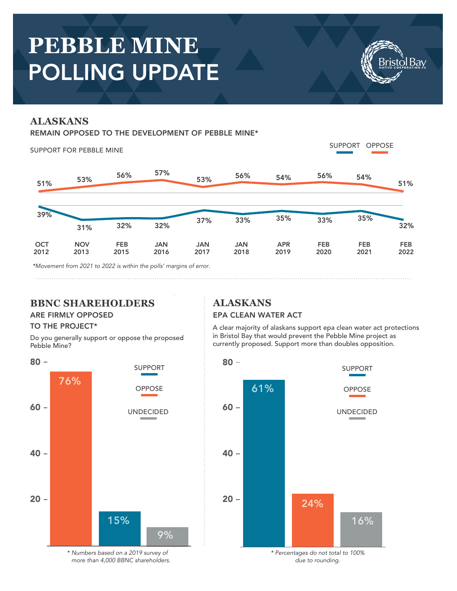# **PEBBLE MINE**  POLLING UPDATE

# **ALASKANS**

#### REMAIN OPPOSED TO THE DEVELOPMENT OF PEBBLE MINE\*

SUPPORT FOR PEBBLE MINE SUPPORT OPPOSE 51% 53% 56% 57% 53% 56% 54% 56% 39% 31% **OCT** 2012 **NOV** 2013 FEB 2015 JAN 2016 JAN 2017 JAN 2018 APR 2019 FEB 2020 32% 32% 37% 33% 35% 33% FEB 2021 FEB 2022 54% 35% 51% 32%

*\*Movement from 2021 to 2022 is within the polls' margins of error.*

# **BBNC SHAREHOLDERS**

#### TO THE PROJECT\*

Do you generally support or oppose the proposed Pebble Mine?



*\* Numbers based on a 2019 survey of more than 4,000 BBNC shareholders.* **ALASKANS**

#### ARE FIRMLY OPPOSED EPA CLEAN WATER ACT

A clear majority of alaskans support epa clean water act protections in Bristol Bay that would prevent the Pebble Mine project as currently proposed. Support more than doubles opposition.



*\* Percentages do not total to 100% due to rounding.*

Bay